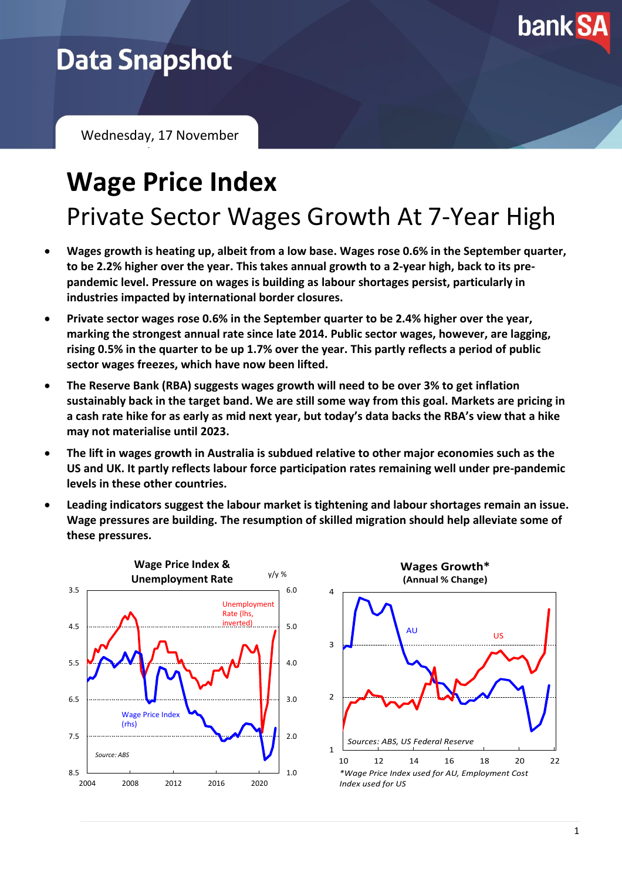

## **Data Snapshot**

Wednesday, 17 November 2021 February 2021

# **Wage Price Index** Private Sector Wages Growth At 7-Year High

- **Wages growth is heating up, albeit from a low base. Wages rose 0.6% in the September quarter, to be 2.2% higher over the year. This takes annual growth to a 2-year high, back to its prepandemic level. Pressure on wages is building as labour shortages persist, particularly in industries impacted by international border closures.**
- **Private sector wages rose 0.6% in the September quarter to be 2.4% higher over the year, marking the strongest annual rate since late 2014. Public sector wages, however, are lagging, rising 0.5% in the quarter to be up 1.7% over the year. This partly reflects a period of public sector wages freezes, which have now been lifted.**
- **The Reserve Bank (RBA) suggests wages growth will need to be over 3% to get inflation sustainably back in the target band. We are still some way from this goal. Markets are pricing in a cash rate hike for as early as mid next year, but today's data backs the RBA's view that a hike may not materialise until 2023.**
- **The lift in wages growth in Australia is subdued relative to other major economies such as the US and UK. It partly reflects labour force participation rates remaining well under pre-pandemic levels in these other countries.**
- **Leading indicators suggest the labour market is tightening and labour shortages remain an issue. Wage pressures are building. The resumption of skilled migration should help alleviate some of these pressures.**



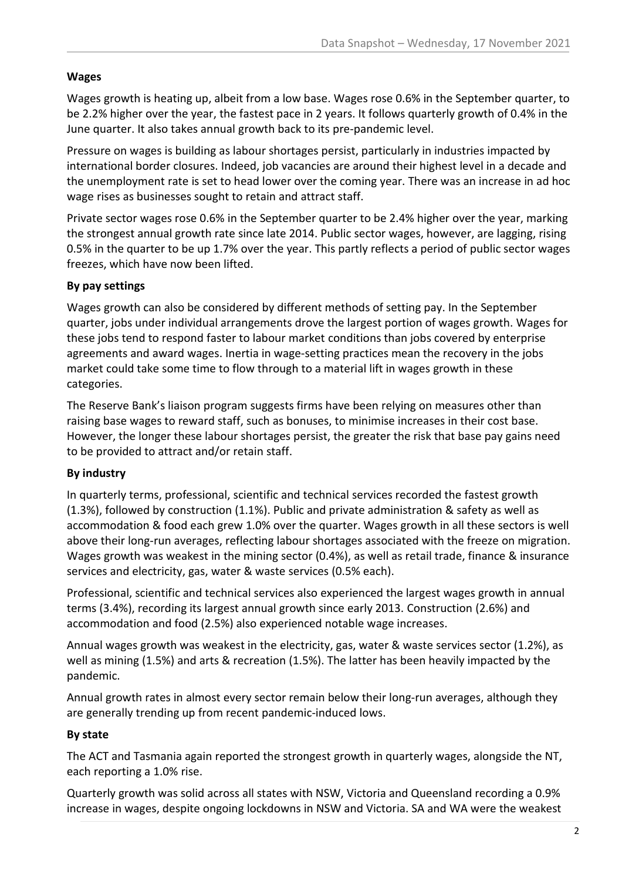#### **Wages**

Wages growth is heating up, albeit from a low base. Wages rose 0.6% in the September quarter, to be 2.2% higher over the year, the fastest pace in 2 years. It follows quarterly growth of 0.4% in the June quarter. It also takes annual growth back to its pre-pandemic level.

Pressure on wages is building as labour shortages persist, particularly in industries impacted by international border closures. Indeed, job vacancies are around their highest level in a decade and the unemployment rate is set to head lower over the coming year. There was an increase in ad hoc wage rises as businesses sought to retain and attract staff.

Private sector wages rose 0.6% in the September quarter to be 2.4% higher over the year, marking the strongest annual growth rate since late 2014. Public sector wages, however, are lagging, rising 0.5% in the quarter to be up 1.7% over the year. This partly reflects a period of public sector wages freezes, which have now been lifted.

### **By pay settings**

Wages growth can also be considered by different methods of setting pay. In the September quarter, jobs under individual arrangements drove the largest portion of wages growth. Wages for these jobs tend to respond faster to labour market conditions than jobs covered by enterprise agreements and award wages. Inertia in wage-setting practices mean the recovery in the jobs market could take some time to flow through to a material lift in wages growth in these categories.

The Reserve Bank's liaison program suggests firms have been relying on measures other than raising base wages to reward staff, such as bonuses, to minimise increases in their cost base. However, the longer these labour shortages persist, the greater the risk that base pay gains need to be provided to attract and/or retain staff.

#### **By industry**

In quarterly terms, professional, scientific and technical services recorded the fastest growth (1.3%), followed by construction (1.1%). Public and private administration & safety as well as accommodation & food each grew 1.0% over the quarter. Wages growth in all these sectors is well above their long-run averages, reflecting labour shortages associated with the freeze on migration. Wages growth was weakest in the mining sector (0.4%), as well as retail trade, finance & insurance services and electricity, gas, water & waste services (0.5% each).

Professional, scientific and technical services also experienced the largest wages growth in annual terms (3.4%), recording its largest annual growth since early 2013. Construction (2.6%) and accommodation and food (2.5%) also experienced notable wage increases.

Annual wages growth was weakest in the electricity, gas, water & waste services sector (1.2%), as well as mining (1.5%) and arts & recreation (1.5%). The latter has been heavily impacted by the pandemic.

Annual growth rates in almost every sector remain below their long-run averages, although they are generally trending up from recent pandemic-induced lows.

#### **By state**

The ACT and Tasmania again reported the strongest growth in quarterly wages, alongside the NT, each reporting a 1.0% rise.

Quarterly growth was solid across all states with NSW, Victoria and Queensland recording a 0.9% increase in wages, despite ongoing lockdowns in NSW and Victoria. SA and WA were the weakest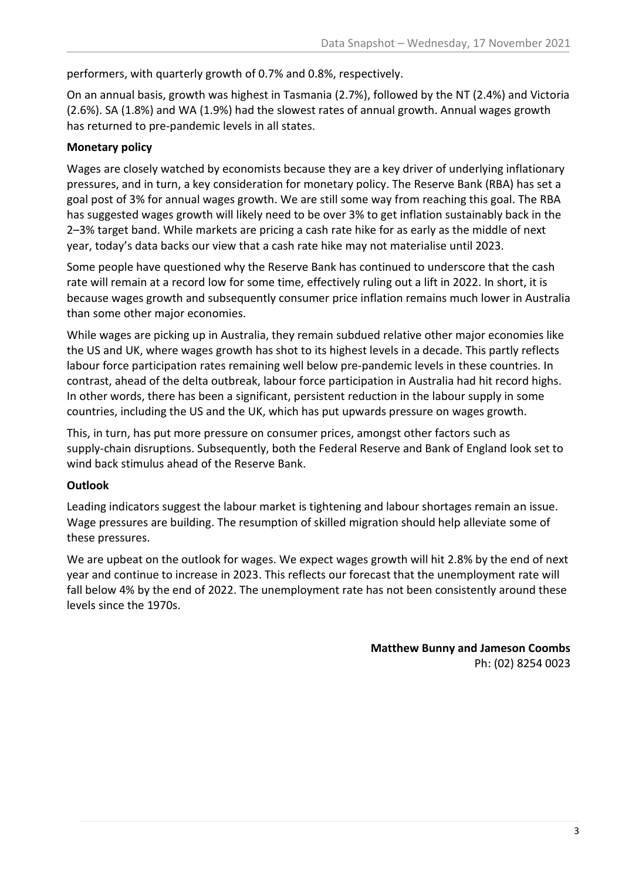performers, with quarterly growth of 0.7% and 0.8%, respectively.

On an annual basis, growth was highest in Tasmania (2.7%), followed by the NT (2.4%) and Victoria (2.6%). SA (1.8%) and WA (1.9%) had the slowest rates of annual growth. Annual wages growth has returned to pre-pandemic levels in all states.

#### **Monetary policy**

Wages are closely watched by economists because they are a key driver of underlying inflationary pressures, and in turn, a key consideration for monetary policy. The Reserve Bank (RBA) has set a goal post of 3% for annual wages growth. We are still some way from reaching this goal. The RBA has suggested wages growth will likely need to be over 3% to get inflation sustainably back in the 2–3% target band. While markets are pricing a cash rate hike for as early as the middle of next year, today's data backs our view that a cash rate hike may not materialise until 2023.

Some people have questioned why the Reserve Bank has continued to underscore that the cash rate will remain at a record low for some time, effectively ruling out a lift in 2022. In short, it is because wages growth and subsequently consumer price inflation remains much lower in Australia than some other major economies.

While wages are picking up in Australia, they remain subdued relative other major economies like the US and UK, where wages growth has shot to its highest levels in a decade. This partly reflects labour force participation rates remaining well below pre-pandemic levels in these countries. In contrast, ahead of the delta outbreak, labour force participation in Australia had hit record highs. In other words, there has been a significant, persistent reduction in the labour supply in some countries, including the US and the UK, which has put upwards pressure on wages growth.

This, in turn, has put more pressure on consumer prices, amongst other factors such as supply-chain disruptions. Subsequently, both the Federal Reserve and Bank of England look set to wind back stimulus ahead of the Reserve Bank.

#### **Outlook**

Leading indicators suggest the labour market is tightening and labour shortages remain an issue. Wage pressures are building. The resumption of skilled migration should help alleviate some of these pressures.

We are upbeat on the outlook for wages. We expect wages growth will hit 2.8% by the end of next year and continue to increase in 2023. This reflects our forecast that the unemployment rate will fall below 4% by the end of 2022. The unemployment rate has not been consistently around these levels since the 1970s.

> **Matthew Bunny and Jameson Coombs** Ph: (02) 8254 0023